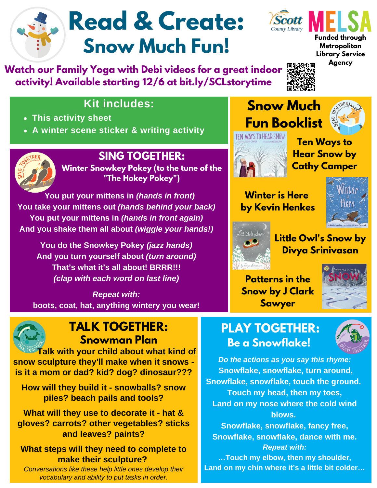# **Read & Create: Snow Much Fun!**

**Watch our Family Yoga with Debi videos for a great indoor activity! Available starting 12/6 at bit.ly/SCLstorytime**



**Funded through Metropolitan Library Service**

**Agency**

### **Kit includes:**

- **This activity sheet**
- **A winter scene sticker & writing activity**



### **SING TOGETHER:**

**Winter Snowkey Pokey (to the tune of the "The Hokey Pokey")**

 **You put your mittens in** *(hands in front)* **You take your mittens out** *(hands behind your back)* **You put your mittens in** *(hands in front again)* **And you shake them all about** *(wiggle your hands!)*

**You do the Snowkey Pokey** *(jazz hands)* **And you turn yourself about** *(turn around)* **That's what it's all about! BRRR!!!** *(clap with each word on last line)*

*Repeat with:* **boots, coat, hat, anything wintery you wear!**



**Ten Ways to Hear Snow by Cathy Camper**

**Winter is Here by Kevin Henkes**

**Snow Much**





**Little Owl's Snow by Divya Srinivasan**

**Patterns in the Snow by J Clark Sawyer**



### **PLAY TOGETHER: Be a Snowflake!**



**TALK TOGETHER: Snowman Plan Talk with your child about what kind of**

**snow sculpture they'll make when it snows is it a mom or dad? kid? dog? dinosaur???**

**How will they build it - snowballs? snow piles? beach pails and tools?**

**What will they use to decorate it - hat & gloves? carrots? other vegetables? sticks and leaves? paints?**

#### **What steps will they need to complete to make their sculpture?**

*Conversations like these help little ones develop their vocabulary and ability to put tasks in order.*

*Do the actions as you say this rhyme:* **Snowflake, snowflake, turn around, Snowflake, snowflake, touch the ground. Touch my head, then my toes, Land on my nose where the cold wind blows.**

**Snowflake, snowflake, fancy free, Snowflake, snowflake, dance with me.** *Repeat with:*

**…Touch my elbow, then my shoulder, Land on my chin where it's a little bit colder…**